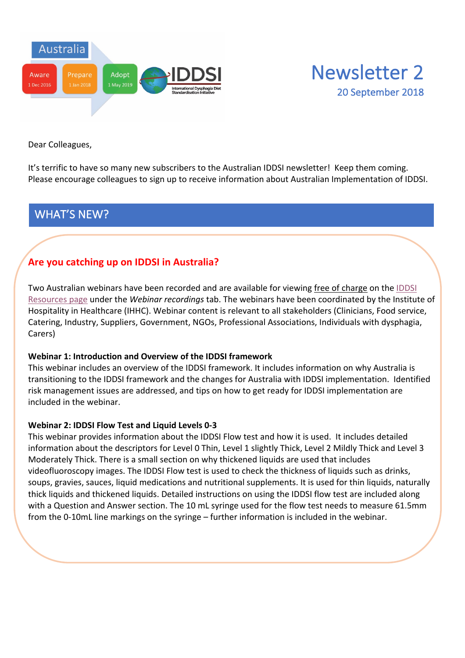



Dear Colleagues,

It's terrific to have so many new subscribers to the Australian IDDSI newsletter! Keep them coming. Please encourage colleagues to sign up to receive information about Australian Implementation of IDDSI.

## WHAT'S NEW?

## **Are you catching up on IDDSI in Australia?**

Two Australian webinars have been recorded and are available for viewing free of charge on the IDDSI Resources page under the *Webinar recordings* tab. The webinars have been coordinated by the Institute of Hospitality in Healthcare (IHHC). Webinar content is relevant to all stakeholders (Clinicians, Food service, Catering, Industry, Suppliers, Government, NGOs, Professional Associations, Individuals with dysphagia, Carers)

#### **Webinar 1: Introduction and Overview of the IDDSI framework**

This webinar includes an overview of the IDDSI framework. It includes information on why Australia is transitioning to the IDDSI framework and the changes for Australia with IDDSI implementation. Identified risk management issues are addressed, and tips on how to get ready for IDDSI implementation are included in the webinar.

#### **Webinar 2: IDDSI Flow Test and Liquid Levels 0-3**

This webinar provides information about the IDDSI Flow test and how it is used. It includes detailed information about the descriptors for Level 0 Thin, Level 1 slightly Thick, Level 2 Mildly Thick and Level 3 Moderately Thick. There is a small section on why thickened liquids are used that includes videofluoroscopy images. The IDDSI Flow test is used to check the thickness of liquids such as drinks, soups, gravies, sauces, liquid medications and nutritional supplements. It is used for thin liquids, naturally thick liquids and thickened liquids. Detailed instructions on using the IDDSI flow test are included along with a Question and Answer section. The 10 mL syringe used for the flow test needs to measure 61.5mm from the 0-10mL line markings on the syringe – further information is included in the webinar.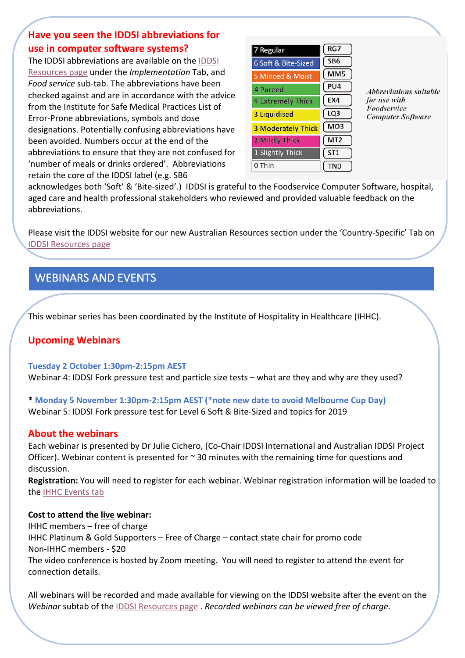## **Have you seen the IDDSI abbreviations for use in computer software systems?**

The IDDSI abbreviations are available on the IDDSI Resources page under the *Implementation* Tab, and *Food service* sub-tab. The abbreviations have been checked against and are in accordance with the advice from the Institute for Safe Medical Practices List of Error-Prone abbreviations, symbols and dose designations. Potentially confusing abbreviations have been avoided. Numbers occur at the end of the abbreviations to ensure that they are not confused for 'number of meals or drinks ordered'. Abbreviations retain the core of the IDDSI label (e.g. SB6

| 7 Regular                 | RG7             |
|---------------------------|-----------------|
| 6 Soft & Bite-Sized       | SB <sub>6</sub> |
| 5 Minced & Moist          | MM <sub>5</sub> |
| 4 Pureed                  | PU4             |
| <b>4 Extremely Thick</b>  | EX4             |
| <b>3 Liquidised</b>       | LQ <sub>3</sub> |
| <b>3 Moderately Thick</b> | MO <sub>3</sub> |
| <b>2 Mildly Thick</b>     | MT <sub>2</sub> |
| 1 Slightly Thick          | ST <sub>1</sub> |
| 0 Thin                    |                 |

*Abbreviations suitable* for use with Foodservice **Computer Software** 

acknowledges both 'Soft' & 'Bite-sized'.) IDDSI is grateful to the Foodservice Computer Software, hospital, aged care and health professional stakeholders who reviewed and provided valuable feedback on the abbreviations.

Please visit the IDDSI website for our new Australian Resources section under the 'Country-Specific' Tab on IDDSI Resources page

# WEBINARS AND EVENTS

This webinar series has been coordinated by the Institute of Hospitality in Healthcare (IHHC).

### **Upcoming Webinars**

#### **Tuesday 2 October 1:30pm-2:15pm AEST**

Webinar 4: IDDSI Fork pressure test and particle size tests – what are they and why are they used?

**\* Monday 5 November 1:30pm-2:15pm AEST (\*note new date to avoid Melbourne Cup Day)** Webinar 5: IDDSI Fork pressure test for Level 6 Soft & Bite-Sized and topics for 2019

### **About the webinars**

Each webinar is presented by Dr Julie Cichero, (Co-Chair IDDSI International and Australian IDDSI Project Officer). Webinar content is presented for  $\sim$  30 minutes with the remaining time for questions and discussion.

**Registration:** You will need to register for each webinar. Webinar registration information will be loaded to the IHHC Events tab

#### **Cost to attend the live webinar:**

IHHC members – free of charge IHHC Platinum & Gold Supporters – Free of Charge – contact state chair for promo code Non-IHHC members - \$20 The video conference is hosted by Zoom meeting. You will need to register to attend the event for connection details.

All webinars will be recorded and made available for viewing on the IDDSI website after the event on the *Webinar* subtab of the IDDSI Resources page . *Recorded webinars can be viewed free of charge*.